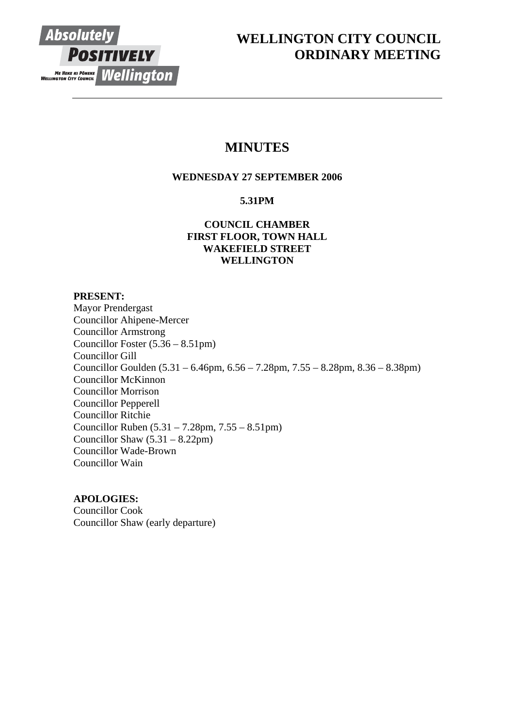

# **WELLINGTON CITY COUNCIL ORDINARY MEETING**

# **MINUTES**

## **WEDNESDAY 27 SEPTEMBER 2006**

## **5.31PM**

## **COUNCIL CHAMBER FIRST FLOOR, TOWN HALL WAKEFIELD STREET WELLINGTON**

## **PRESENT:**

Mayor Prendergast Councillor Ahipene-Mercer Councillor Armstrong Councillor Foster (5.36 – 8.51pm) Councillor Gill Councillor Goulden (5.31 – 6.46pm, 6.56 – 7.28pm, 7.55 – 8.28pm, 8.36 – 8.38pm) Councillor McKinnon Councillor Morrison Councillor Pepperell Councillor Ritchie Councillor Ruben (5.31 – 7.28pm, 7.55 – 8.51pm) Councillor Shaw (5.31 – 8.22pm) Councillor Wade-Brown Councillor Wain

## **APOLOGIES:**

Councillor Cook Councillor Shaw (early departure)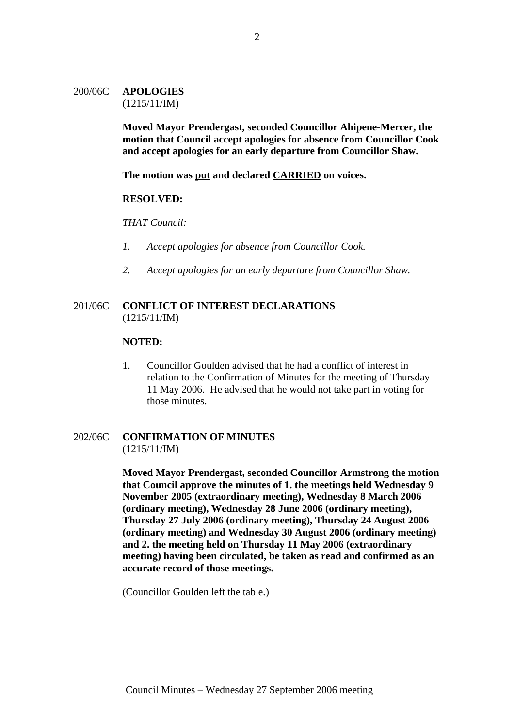## 200/06C **APOLOGIES** (1215/11/IM)

**Moved Mayor Prendergast, seconded Councillor Ahipene-Mercer, the motion that Council accept apologies for absence from Councillor Cook and accept apologies for an early departure from Councillor Shaw.**

**The motion was put and declared CARRIED on voices.**

#### **RESOLVED:**

*THAT Council:* 

- *1. Accept apologies for absence from Councillor Cook.*
- *2. Accept apologies for an early departure from Councillor Shaw.*

#### 201/06C **CONFLICT OF INTEREST DECLARATIONS** (1215/11/IM)

#### **NOTED:**

1. Councillor Goulden advised that he had a conflict of interest in relation to the Confirmation of Minutes for the meeting of Thursday 11 May 2006. He advised that he would not take part in voting for those minutes.

## 202/06C **CONFIRMATION OF MINUTES** (1215/11/IM)

**Moved Mayor Prendergast, seconded Councillor Armstrong the motion that Council approve the minutes of 1. the meetings held Wednesday 9 November 2005 (extraordinary meeting), Wednesday 8 March 2006 (ordinary meeting), Wednesday 28 June 2006 (ordinary meeting), Thursday 27 July 2006 (ordinary meeting), Thursday 24 August 2006 (ordinary meeting) and Wednesday 30 August 2006 (ordinary meeting) and 2. the meeting held on Thursday 11 May 2006 (extraordinary meeting) having been circulated, be taken as read and confirmed as an accurate record of those meetings.** 

(Councillor Goulden left the table.)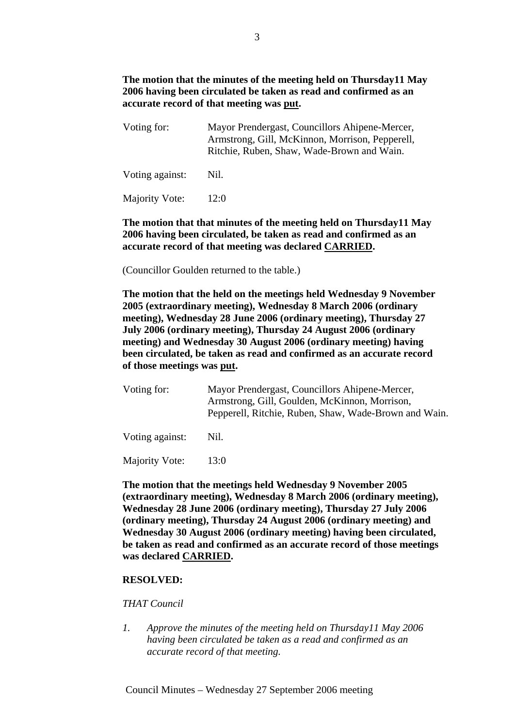## **The motion that the minutes of the meeting held on Thursday11 May 2006 having been circulated be taken as read and confirmed as an accurate record of that meeting was put.**

| Voting for:     | Mayor Prendergast, Councillors Ahipene-Mercer,<br>Armstrong, Gill, McKinnon, Morrison, Pepperell,<br>Ritchie, Ruben, Shaw, Wade-Brown and Wain. |
|-----------------|-------------------------------------------------------------------------------------------------------------------------------------------------|
| Voting against: | Nil.                                                                                                                                            |

Majority Vote: 12:0

## **The motion that that minutes of the meeting held on Thursday11 May 2006 having been circulated, be taken as read and confirmed as an accurate record of that meeting was declared CARRIED.**

(Councillor Goulden returned to the table.)

**The motion that the held on the meetings held Wednesday 9 November 2005 (extraordinary meeting), Wednesday 8 March 2006 (ordinary meeting), Wednesday 28 June 2006 (ordinary meeting), Thursday 27 July 2006 (ordinary meeting), Thursday 24 August 2006 (ordinary meeting) and Wednesday 30 August 2006 (ordinary meeting) having been circulated, be taken as read and confirmed as an accurate record of those meetings was put.** 

| Voting for: | Mayor Prendergast, Councillors Ahipene-Mercer,        |
|-------------|-------------------------------------------------------|
|             | Armstrong, Gill, Goulden, McKinnon, Morrison,         |
|             | Pepperell, Ritchie, Ruben, Shaw, Wade-Brown and Wain. |
|             |                                                       |

Voting against: Nil.

Majority Vote: 13:0

**The motion that the meetings held Wednesday 9 November 2005 (extraordinary meeting), Wednesday 8 March 2006 (ordinary meeting), Wednesday 28 June 2006 (ordinary meeting), Thursday 27 July 2006 (ordinary meeting), Thursday 24 August 2006 (ordinary meeting) and Wednesday 30 August 2006 (ordinary meeting) having been circulated, be taken as read and confirmed as an accurate record of those meetings was declared CARRIED.** 

## **RESOLVED:**

## *THAT Council*

*1. Approve the minutes of the meeting held on Thursday11 May 2006 having been circulated be taken as a read and confirmed as an accurate record of that meeting.*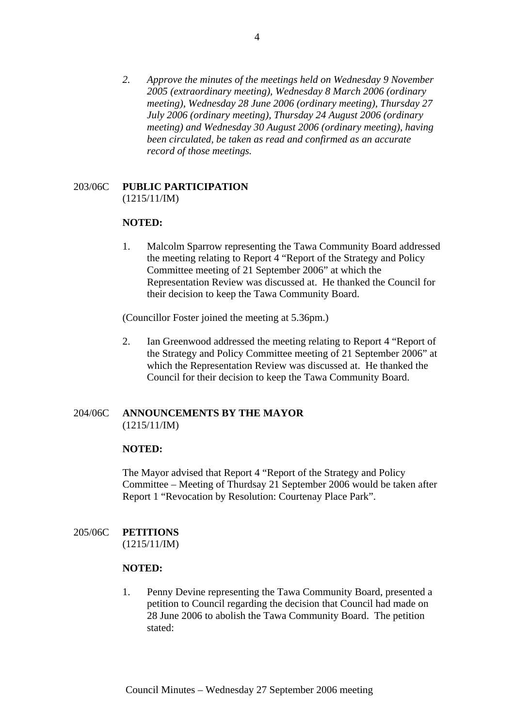*2. Approve the minutes of the meetings held on Wednesday 9 November 2005 (extraordinary meeting), Wednesday 8 March 2006 (ordinary meeting), Wednesday 28 June 2006 (ordinary meeting), Thursday 27 July 2006 (ordinary meeting), Thursday 24 August 2006 (ordinary meeting) and Wednesday 30 August 2006 (ordinary meeting), having been circulated, be taken as read and confirmed as an accurate record of those meetings.* 

#### 203/06C **PUBLIC PARTICIPATION**  (1215/11/IM)

## **NOTED:**

1. Malcolm Sparrow representing the Tawa Community Board addressed the meeting relating to Report 4 "Report of the Strategy and Policy Committee meeting of 21 September 2006" at which the Representation Review was discussed at. He thanked the Council for their decision to keep the Tawa Community Board.

(Councillor Foster joined the meeting at 5.36pm.)

2. Ian Greenwood addressed the meeting relating to Report 4 "Report of the Strategy and Policy Committee meeting of 21 September 2006" at which the Representation Review was discussed at. He thanked the Council for their decision to keep the Tawa Community Board.

## 204/06C **ANNOUNCEMENTS BY THE MAYOR** (1215/11/IM)

#### **NOTED:**

The Mayor advised that Report 4 "Report of the Strategy and Policy Committee – Meeting of Thurdsay 21 September 2006 would be taken after Report 1 "Revocation by Resolution: Courtenay Place Park".

## 205/06C **PETITIONS**

(1215/11/IM)

#### **NOTED:**

1. Penny Devine representing the Tawa Community Board, presented a petition to Council regarding the decision that Council had made on 28 June 2006 to abolish the Tawa Community Board. The petition stated: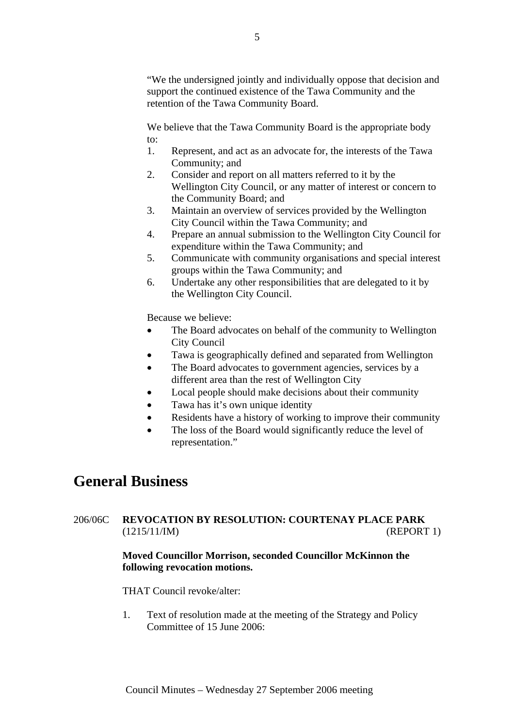"We the undersigned jointly and individually oppose that decision and support the continued existence of the Tawa Community and the retention of the Tawa Community Board.

We believe that the Tawa Community Board is the appropriate body to:

- 1. Represent, and act as an advocate for, the interests of the Tawa Community; and
- 2. Consider and report on all matters referred to it by the Wellington City Council, or any matter of interest or concern to the Community Board; and
- 3. Maintain an overview of services provided by the Wellington City Council within the Tawa Community; and
- 4. Prepare an annual submission to the Wellington City Council for expenditure within the Tawa Community; and
- 5. Communicate with community organisations and special interest groups within the Tawa Community; and
- 6. Undertake any other responsibilities that are delegated to it by the Wellington City Council.

Because we believe:

- The Board advocates on behalf of the community to Wellington City Council
- Tawa is geographically defined and separated from Wellington
- The Board advocates to government agencies, services by a different area than the rest of Wellington City
- Local people should make decisions about their community
- Tawa has it's own unique identity
- Residents have a history of working to improve their community
- The loss of the Board would significantly reduce the level of representation."

# **General Business**

## 206/06C **REVOCATION BY RESOLUTION: COURTENAY PLACE PARK**  (1215/11/IM) (REPORT 1)

## **Moved Councillor Morrison, seconded Councillor McKinnon the following revocation motions.**

## THAT Council revoke/alter:

1. Text of resolution made at the meeting of the Strategy and Policy Committee of 15 June 2006: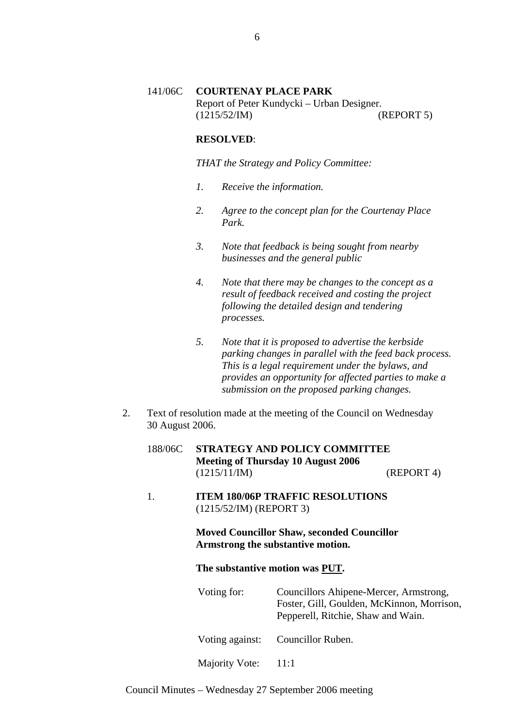## 141/06C **COURTENAY PLACE PARK** Report of Peter Kundycki – Urban Designer. (1215/52/IM) (REPORT 5)

## **RESOLVED**:

*THAT the Strategy and Policy Committee:* 

- *1. Receive the information.*
- *2. Agree to the concept plan for the Courtenay Place Park.*
- *3. Note that feedback is being sought from nearby businesses and the general public*
- *4. Note that there may be changes to the concept as a result of feedback received and costing the project following the detailed design and tendering processes.*
- *5. Note that it is proposed to advertise the kerbside parking changes in parallel with the feed back process. This is a legal requirement under the bylaws, and provides an opportunity for affected parties to make a submission on the proposed parking changes.*
- 2. Text of resolution made at the meeting of the Council on Wednesday 30 August 2006.
	- 188/06C **STRATEGY AND POLICY COMMITTEE Meeting of Thursday 10 August 2006**  (1215/11/IM) (REPORT 4)
	- 1. **ITEM 180/06P TRAFFIC RESOLUTIONS**  (1215/52/IM) (REPORT 3)

**Moved Councillor Shaw, seconded Councillor Armstrong the substantive motion.**

#### **The substantive motion was PUT.**

Voting for: Councillors Ahipene-Mercer, Armstrong, Foster, Gill, Goulden, McKinnon, Morrison, Pepperell, Ritchie, Shaw and Wain.

Voting against: Councillor Ruben.

Majority Vote: 11:1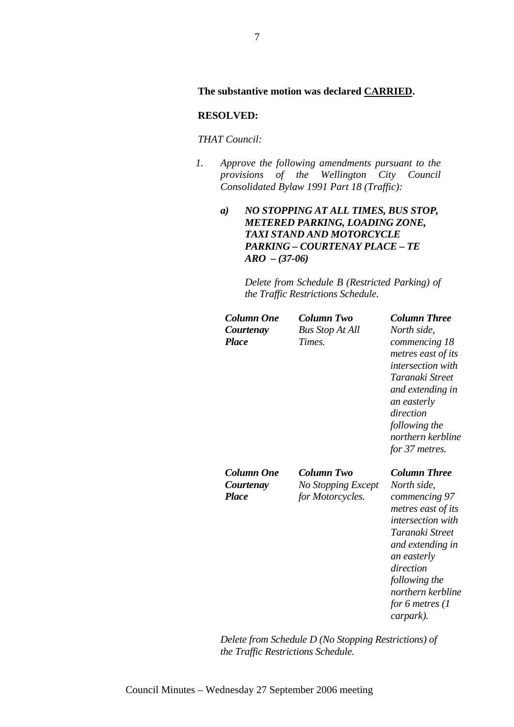#### **The substantive motion was declared CARRIED.**

#### **RESOLVED:**

## *THAT Council:*

*1. Approve the following amendments pursuant to the provisions of the Wellington City Council Consolidated Bylaw 1991 Part 18 (Traffic):* 

## *a) NO STOPPING AT ALL TIMES, BUS STOP, METERED PARKING, LOADING ZONE, TAXI STAND AND MOTORCYCLE PARKING – COURTENAY PLACE – TE ARO – (37-06)*

*Delete from Schedule B (Restricted Parking) of the Traffic Restrictions Schedule.* 

| <b>Column Two</b>      | <b>Column Three</b>      |
|------------------------|--------------------------|
| <b>Bus Stop At All</b> | North side,              |
| Times.                 | commencing 18            |
|                        | metres east of its       |
|                        | <i>intersection</i> with |
|                        | Taranaki Street          |
|                        | and extending in         |
|                        | an easterly              |
|                        | direction                |
|                        | following the            |
|                        | northern kerbline        |
|                        | for 37 metres.           |
| Column Two             | <b>Column Three</b>      |
| No Stopping Except     | North side,              |
| for Motorcycles.       | commencing 97            |
|                        | metres east of its       |
|                        | <i>intersection with</i> |
|                        | Taranaki Street          |
|                        | and extending in         |
|                        | an easterly              |
|                        | direction                |
|                        | following the            |
|                        | northern kerbline        |
|                        |                          |
|                        | for 6 metres $(1)$       |
|                        |                          |

*Delete from Schedule D (No Stopping Restrictions) of the Traffic Restrictions Schedule.*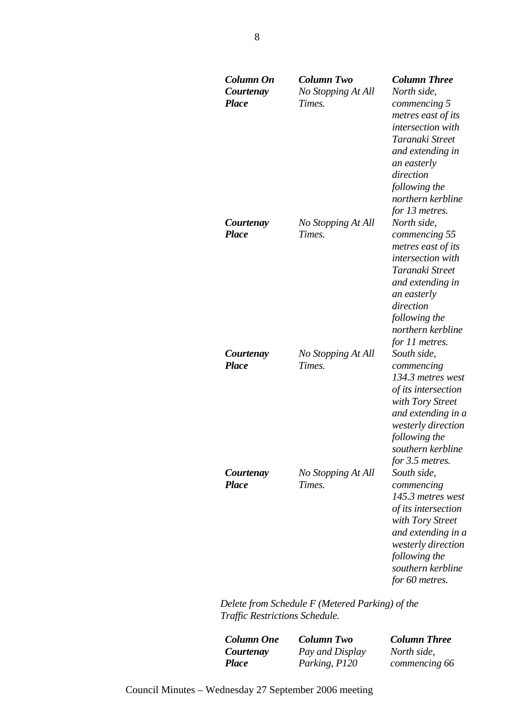| Column On<br>Courtenay<br><b>Place</b> | <b>Column Two</b><br>No Stopping At All<br>Times. | <b>Column Three</b><br>North side,<br>commencing 5<br>metres east of its<br>intersection with<br>Taranaki Street<br>and extending in<br>an easterly<br>direction<br>following the<br>northern kerbline<br>for 13 metres. |
|----------------------------------------|---------------------------------------------------|--------------------------------------------------------------------------------------------------------------------------------------------------------------------------------------------------------------------------|
| Courtenay<br><b>Place</b>              | No Stopping At All<br>Times.                      | North side,<br>commencing 55<br>metres east of its<br>intersection with<br>Taranaki Street<br>and extending in<br>an easterly<br>direction<br>following the<br>northern kerbline<br>for 11 metres.                       |
| Courtenay<br><b>Place</b>              | No Stopping At All<br>Times.                      | South side,<br>commencing<br>134.3 metres west<br>of its intersection<br>with Tory Street<br>and extending in a<br>westerly direction<br>following the<br>southern kerbline<br>for 3.5 metres.                           |
| Courtenay<br><b>Place</b>              | No Stopping At All<br>Times.                      | South side,<br>commencing<br>145.3 metres west<br>of its intersection<br>with Tory Street<br>and extending in a<br>westerly direction<br>following the<br>southern kerbline<br>for 60 metres.                            |

*Delete from Schedule F (Metered Parking) of the Traffic Restrictions Schedule.* 

| <b>Column One</b> | <b>Column Two</b> | <b>Column Three</b> |
|-------------------|-------------------|---------------------|
| Courtenay         | Pay and Display   | North side.         |
| <b>Place</b>      | Parking, P120     | commencing 66       |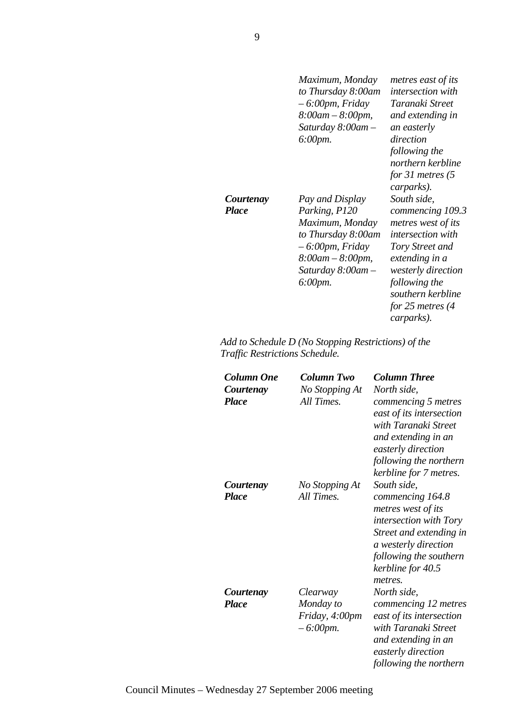|           | Maximum, Monday<br>to Thursday 8:00am<br>$-6.00$ pm, Friday<br>$8:00$ am $-8:00$ pm,<br>Saturday $8:00$ am $-$<br>6:00pm.                | metres east of its<br><i>intersection with</i><br>Taranaki Street<br>and extending in<br>an easterly<br>direction<br>following the<br>northern kerbline<br>for 31 metres $(5$<br>carparks).                     |
|-----------|------------------------------------------------------------------------------------------------------------------------------------------|-----------------------------------------------------------------------------------------------------------------------------------------------------------------------------------------------------------------|
| Courtenay | Pay and Display                                                                                                                          | South side,                                                                                                                                                                                                     |
| Place     | Parking, P120<br>Maximum, Monday<br>to Thursday 8:00am<br>$-6.00$ pm, Friday<br>8:00am – 8:00pm,<br>Saturday $8:00$ am $-$<br>$6:00$ pm. | commencing 109.3<br>metres west of its<br><i>intersection</i> with<br>Tory Street and<br>extending in a<br><i>westerly direction</i><br>following the<br>southern kerbline<br>for 25 metres $(4)$<br>carparks). |

## *Add to Schedule D (No Stopping Restrictions) of the Traffic Restrictions Schedule.*

| Column One<br>Courtenay<br><b>Place</b> | Column Two<br>No Stopping At<br>All Times.             | <b>Column Three</b><br>North side,<br>commencing 5 metres<br>east of its intersection<br>with Taranaki Street<br>and extending in an<br>easterly direction<br>following the northern                        |
|-----------------------------------------|--------------------------------------------------------|-------------------------------------------------------------------------------------------------------------------------------------------------------------------------------------------------------------|
| Courtenay<br><b>Place</b>               | No Stopping At<br>All Times.                           | kerbline for 7 metres.<br>South side,<br>commencing 164.8<br>metres west of its<br>intersection with Tory<br>Street and extending in<br>a westerly direction<br>following the southern<br>kerbline for 40.5 |
| Courtenay<br><b>Place</b>               | Clearway<br>Monday to<br>Friday, 4:00pm<br>$-6:00$ pm. | metres.<br>North side,<br>commencing 12 metres<br>east of its intersection<br>with Taranaki Street<br>and extending in an<br>easterly direction<br>following the northern                                   |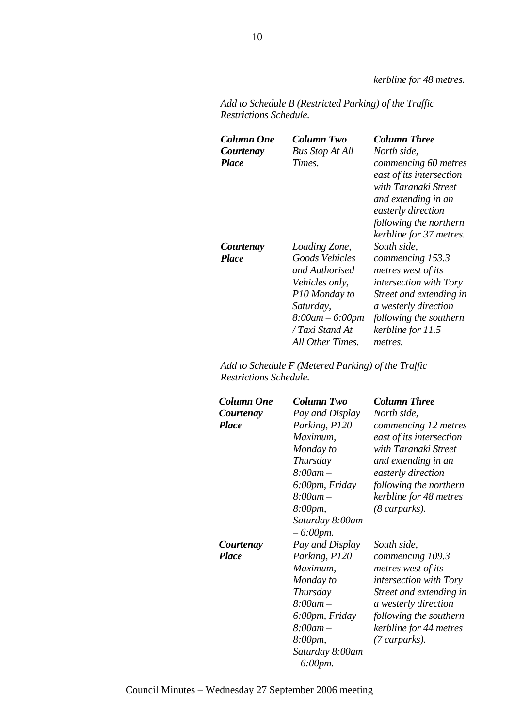*kerbline for 48 metres.* 

| Add to Schedule B (Restricted Parking) of the Traffic |  |
|-------------------------------------------------------|--|
| <b>Restrictions Schedule.</b>                         |  |

| Column One<br>Courtenay<br><b>Place</b> | Column Two<br><b>Bus Stop At All</b><br>Times.                                                                                                                       | <b>Column Three</b><br>North side,<br>commencing 60 metres<br>east of its intersection<br>with Taranaki Street<br>and extending in an<br>easterly direction<br>following the northern<br>kerbline for 37 metres. |
|-----------------------------------------|----------------------------------------------------------------------------------------------------------------------------------------------------------------------|------------------------------------------------------------------------------------------------------------------------------------------------------------------------------------------------------------------|
| Courtenay<br><b>Place</b>               | Loading Zone,<br>Goods Vehicles<br>and Authorised<br><i>Vehicles only,</i><br>P10 Monday to<br>Saturday,<br>$8:00am - 6:00pm$<br>/ Taxi Stand At<br>All Other Times. | South side.<br>commencing 153.3<br>metres west of its<br><i>intersection with Tory</i><br>Street and extending in<br>a westerly direction<br>following the southern<br>kerbline for 11.5<br>metres.              |

*Add to Schedule F (Metered Parking) of the Traffic Restrictions Schedule.* 

| Column One   | Column Two                     | <b>Column Three</b>           |
|--------------|--------------------------------|-------------------------------|
| Courtenay    | Pay and Display                | North side,                   |
| <b>Place</b> | Parking, P120                  | commencing 12 metres          |
|              | Maximum,                       | east of its intersection      |
|              | Monday to                      | with Taranaki Street          |
|              | Thursday                       | and extending in an           |
|              | $8:00$ am -                    | easterly direction            |
|              | 6:00pm, Friday                 | following the northern        |
|              | $8:00$ am $-$                  | kerbline for 48 metres        |
|              | 8:00pm,                        | $(8 \text{ carparks).$        |
|              | Saturday 8:00am<br>$-6:00$ pm. |                               |
| Courtenay    | Pay and Display                | South side,                   |
| <b>Place</b> | Parking, P120                  | commencing 109.3              |
|              | Maximum,                       | metres west of its            |
|              | Monday to                      | <i>intersection with Tory</i> |
|              | Thursday                       | Street and extending in       |
|              | $8:00$ am $-$                  | a westerly direction          |
|              | 6:00pm, Friday                 | following the southern        |
|              | $8:00$ am $-$                  | kerbline for 44 metres        |
|              | 8:00pm,                        | (7 carparks).                 |
|              | Saturday 8:00am<br>$-6:00$ pm. |                               |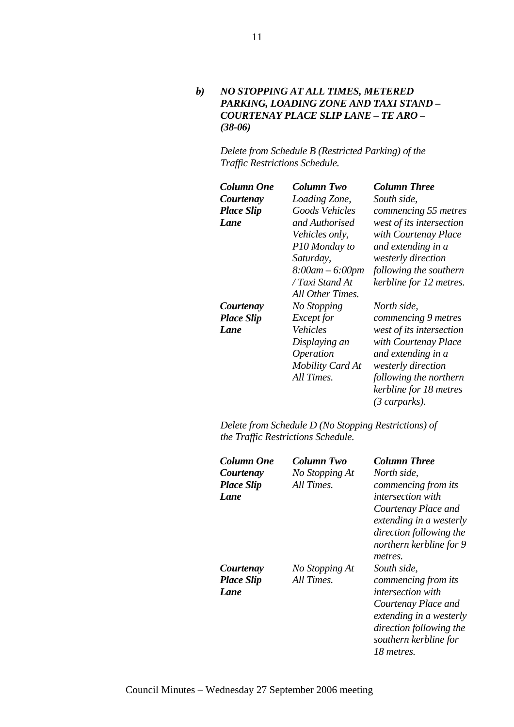*b) NO STOPPING AT ALL TIMES, METERED PARKING, LOADING ZONE AND TAXI STAND – COURTENAY PLACE SLIP LANE – TE ARO – (38-06)* 

*Delete from Schedule B (Restricted Parking) of the Traffic Restrictions Schedule.* 

| Column One        | Column Two              | <b>Column Three</b>      |
|-------------------|-------------------------|--------------------------|
| Courtenay         | Loading Zone,           | South side,              |
| <b>Place Slip</b> | Goods Vehicles          | commencing 55 metres     |
| Lane              | and Authorised          | west of its intersection |
|                   | Vehicles only,          | with Courtenay Place     |
|                   | P10 Monday to           | and extending in a       |
|                   | Saturday,               | westerly direction       |
|                   | $8:00am - 6:00pm$       | following the southern   |
|                   | / Taxi Stand At         | kerbline for 12 metres.  |
|                   | All Other Times.        |                          |
| Courtenay         | No Stopping             | North side,              |
| <b>Place Slip</b> | <i>Except</i> for       | commencing 9 metres      |
| Lane              | Vehicles                | west of its intersection |
|                   | Displaying an           | with Courtenay Place     |
|                   | <i><b>Operation</b></i> | and extending in a       |
|                   | Mobility Card At        | westerly direction       |
|                   | All Times.              | following the northern   |
|                   |                         | kerbline for 18 metres   |
|                   |                         | (3 carparks).            |

*Delete from Schedule D (No Stopping Restrictions) of the Traffic Restrictions Schedule.* 

| Column One<br>Courtenay<br><b>Place Slip</b><br>Lane | Column Two<br>No Stopping At<br>All Times. | <b>Column Three</b><br>North side.<br>commencing from its<br><i>intersection with</i><br>Courtenay Place and<br>extending in a westerly<br>direction following the<br>northern kerbline for 9<br>metres. |
|------------------------------------------------------|--------------------------------------------|----------------------------------------------------------------------------------------------------------------------------------------------------------------------------------------------------------|
| Courtenay<br><b>Place Slip</b><br>Lane               | No Stopping At<br>All Times.               | South side.<br>commencing from its<br><i>intersection with</i><br>Courtenay Place and<br>extending in a westerly<br>direction following the<br>southern kerbline for<br>18 metres.                       |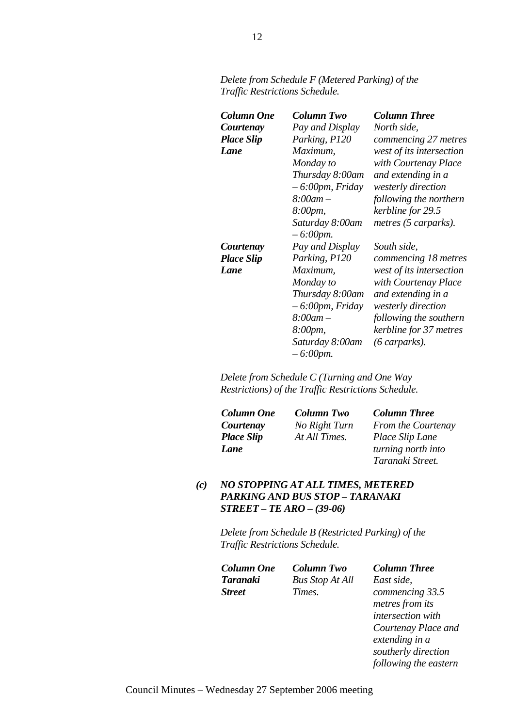| Column One        | Column Two                     | <b>Column Three</b>      |
|-------------------|--------------------------------|--------------------------|
| Courtenay         | Pay and Display                | North side,              |
| <b>Place Slip</b> | Parking, P120                  | commencing 27 metres     |
| Lane              | Maximum,                       | west of its intersection |
|                   | Monday to                      | with Courtenay Place     |
|                   | Thursday 8:00am                | and extending in a       |
|                   | $-6.00$ pm, Friday             | westerly direction       |
|                   | $8:00$ am $-$                  | following the northern   |
|                   | 8:00pm,                        | kerbline for 29.5        |
|                   | Saturday 8:00am                | metres (5 carparks).     |
|                   | $-6:00$ pm.                    |                          |
| Courtenay         | Pay and Display                | South side,              |
| <b>Place Slip</b> | Parking, P120                  | commencing 18 metres     |
| Lane              | Maximum,                       | west of its intersection |
|                   | Monday to                      | with Courtenay Place     |
|                   | Thursday 8:00am                | and extending in a       |
|                   | $-6.00$ pm, Friday             | westerly direction       |
|                   | $8:00$ am $-$                  | following the southern   |
|                   | 8:00pm,                        | kerbline for 37 metres   |
|                   | Saturday 8:00am<br>$-6:00$ pm. | $(6 \text{ carparts).$   |

*Delete from Schedule F (Metered Parking) of the Traffic Restrictions Schedule.* 

*Delete from Schedule C (Turning and One Way Restrictions) of the Traffic Restrictions Schedule.* 

| <b>Column One</b> | Column Two    | <b>Column Three</b> |
|-------------------|---------------|---------------------|
| Courtenay         | No Right Turn | From the Courtenay  |
| <b>Place Slip</b> | At All Times. | Place Slip Lane     |
| Lane              |               | turning north into  |
|                   |               | Taranaki Street.    |

*(c) NO STOPPING AT ALL TIMES, METERED PARKING AND BUS STOP – TARANAKI STREET – TE ARO – (39-06)* 

> *Delete from Schedule B (Restricted Parking) of the Traffic Restrictions Schedule.*

| Column One | Column Two             | <b>Column Three</b>                                                            |
|------------|------------------------|--------------------------------------------------------------------------------|
| Taranaki   | <b>Bus Stop At All</b> | East side.                                                                     |
| Street     | Times.                 | commencing 33.5                                                                |
|            |                        | $\mathcal{L}$ . The same set of $\mathcal{L}$ is the same set of $\mathcal{L}$ |

*metres from its intersection with Courtenay Place and extending in a southerly direction following the eastern*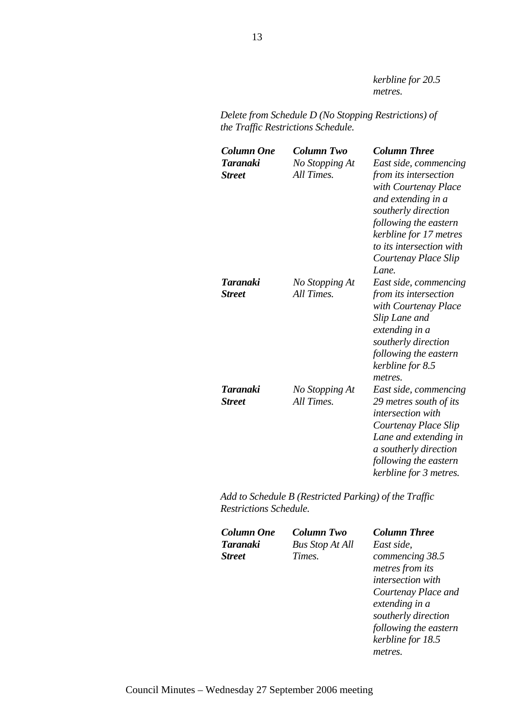*kerbline for 20.5 metres.* 

*Delete from Schedule D (No Stopping Restrictions) of the Traffic Restrictions Schedule.* 

| <b>Column One</b><br><b>Taranaki</b><br><b>Street</b> | Column Two<br>No Stopping At<br>All Times. | <b>Column Three</b><br>East side, commencing<br>from its intersection<br>with Courtenay Place<br>and extending in a<br>southerly direction<br>following the eastern<br>kerbline for 17 metres<br>to its intersection with<br>Courtenay Place Slip<br>Lane. |
|-------------------------------------------------------|--------------------------------------------|------------------------------------------------------------------------------------------------------------------------------------------------------------------------------------------------------------------------------------------------------------|
| Taranaki<br><b>Street</b>                             | No Stopping At<br>All Times.               | East side, commencing<br>from its intersection<br>with Courtenay Place<br>Slip Lane and<br>extending in a<br>southerly direction<br>following the eastern<br>kerbline for 8.5<br>metres.                                                                   |
| <b>Taranaki</b><br><b>Street</b>                      | No Stopping At<br>All Times.               | East side, commencing<br>29 metres south of its<br><i>intersection</i> with<br>Courtenay Place Slip<br>Lane and extending in<br>a southerly direction<br>following the eastern<br>kerbline for 3 metres.                                                   |

*Add to Schedule B (Restricted Parking) of the Traffic Restrictions Schedule.* 

| <b>Column One</b> | <b>Column Two</b>      | <b>Column Three</b>      |
|-------------------|------------------------|--------------------------|
| Taranaki          | <b>Bus Stop At All</b> | East side,               |
| <b>Street</b>     | Times.                 | commencing 38.5          |
|                   |                        | metres from its          |
|                   |                        | <i>intersection</i> with |
|                   |                        | Courtenay Place and      |
|                   |                        | extending in a           |
|                   |                        | southerly direction      |
|                   |                        | following the eastern    |
|                   |                        | kerbline for 18.5        |
|                   |                        | metres.                  |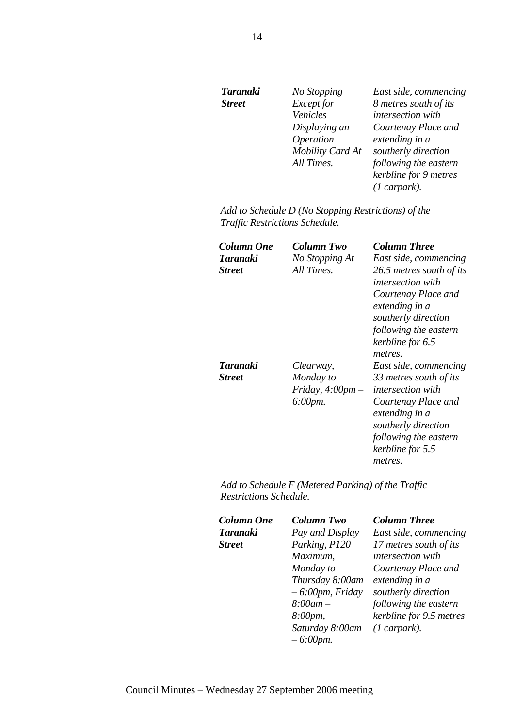| <b>Taranaki</b> | No Stopping      | East side, commencing |
|-----------------|------------------|-----------------------|
| <b>Street</b>   | Except for       | 8 metres south of its |
|                 | Vehicles         | intersection with     |
|                 | Displaying an    | Courtenay Place and   |
|                 | Operation        | extending in a        |
|                 | Mobility Card At | southerly direction   |
|                 | All Times.       | following the eastern |
|                 |                  | kerbline for 9 metres |
|                 |                  | $(1$ carpark).        |

*Add to Schedule D (No Stopping Restrictions) of the Traffic Restrictions Schedule.* 

| Column One    | Column Two                                       | <b>Column Three</b>                                                                                                                                                        |
|---------------|--------------------------------------------------|----------------------------------------------------------------------------------------------------------------------------------------------------------------------------|
| Taranaki      | No Stopping At                                   | East side, commencing                                                                                                                                                      |
| <b>Street</b> | All Times.                                       | 26.5 metres south of its<br><i>intersection with</i><br>Courtenay Place and<br>extending in a<br>southerly direction                                                       |
|               |                                                  | following the eastern<br>kerbline for 6.5<br>metres.                                                                                                                       |
| Taranaki      | Clearway,                                        | East side, commencing                                                                                                                                                      |
| <b>Street</b> | Monday to<br>Friday, $4:00$ pm $-$<br>$6:00$ pm. | 33 metres south of its<br><i>intersection with</i><br>Courtenay Place and<br>extending in a<br>southerly direction<br>following the eastern<br>kerbline for 5.5<br>metres. |

*Add to Schedule F (Metered Parking) of the Traffic Restrictions Schedule.* 

| <b>Column One</b> | Column Two         | <b>Column Three</b>      |
|-------------------|--------------------|--------------------------|
| Taranaki          | Pay and Display    | East side, commencing    |
| <b>Street</b>     | Parking, P120      | 17 metres south of its   |
|                   | Maximum,           | <i>intersection</i> with |
|                   | Monday to          | Courtenay Place and      |
|                   | Thursday 8:00am    | extending in a           |
|                   | $-6.00$ pm, Friday | southerly direction      |
|                   | $8:00$ am $-$      | following the eastern    |
|                   | 8:00pm,            | kerbline for 9.5 metres  |
|                   | Saturday 8:00am    | $(1$ carpark).           |
|                   | $-6:00$ pm.        |                          |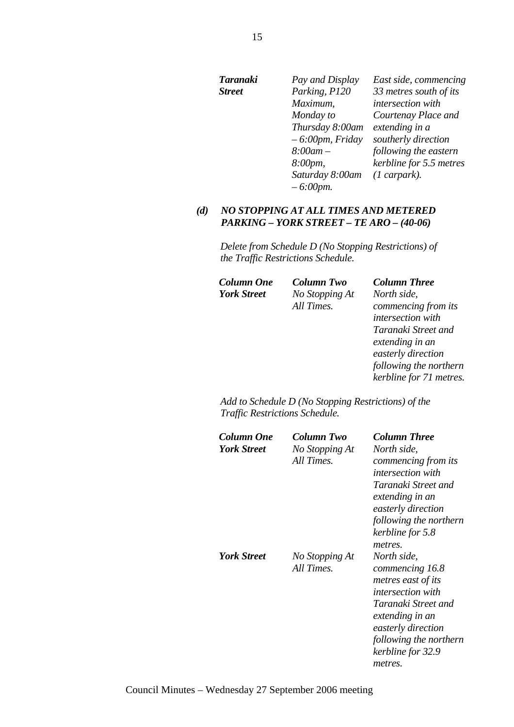| Taranaki      | Pay and Display    | East side, commencing   |
|---------------|--------------------|-------------------------|
| <b>Street</b> | Parking, P120      | 33 metres south of its  |
|               | Maximum,           | intersection with       |
|               | Monday to          | Courtenay Place and     |
|               | Thursday 8:00am    | extending in a          |
|               | $-6:00$ pm, Friday | southerly direction     |
|               | $8:00$ am $-$      | following the eastern   |
|               | $8:00pm$ ,         | kerbline for 5.5 metres |
|               | Saturday 8:00am    | $(1$ carpark).          |
|               | $-6:00$ pm.        |                         |

## *(d) NO STOPPING AT ALL TIMES AND METERED PARKING – YORK STREET – TE ARO – (40-06)*

*Delete from Schedule D (No Stopping Restrictions) of the Traffic Restrictions Schedule.* 

| Column One         | Column Two     | <b>Column Three</b>      |
|--------------------|----------------|--------------------------|
| <b>York Street</b> | No Stopping At | North side,              |
|                    | All Times.     | commencing from its      |
|                    |                | <i>intersection</i> with |
|                    |                | Taranaki Street and      |
|                    |                | extending in an          |
|                    |                | easterly direction       |
|                    |                | following the northern   |
|                    |                | kerbline for 71 metres.  |

*Add to Schedule D (No Stopping Restrictions) of the Traffic Restrictions Schedule.* 

| Column One<br><b>York Street</b> | Column Two<br>No Stopping At<br>All Times. | Column Three<br>North side,<br><i>commencing from its</i><br><i>intersection with</i><br>Taranaki Street and<br>extending in an<br>easterly direction<br>following the northern<br>kerbline for 5.8<br>metres. |
|----------------------------------|--------------------------------------------|----------------------------------------------------------------------------------------------------------------------------------------------------------------------------------------------------------------|
| <b>York Street</b>               | No Stopping At<br>All Times.               | North side,<br>commencing 16.8<br>metres east of its<br><i>intersection with</i><br>Taranaki Street and<br>extending in an<br>easterly direction<br>following the northern<br>kerbline for 32.9<br>metres.     |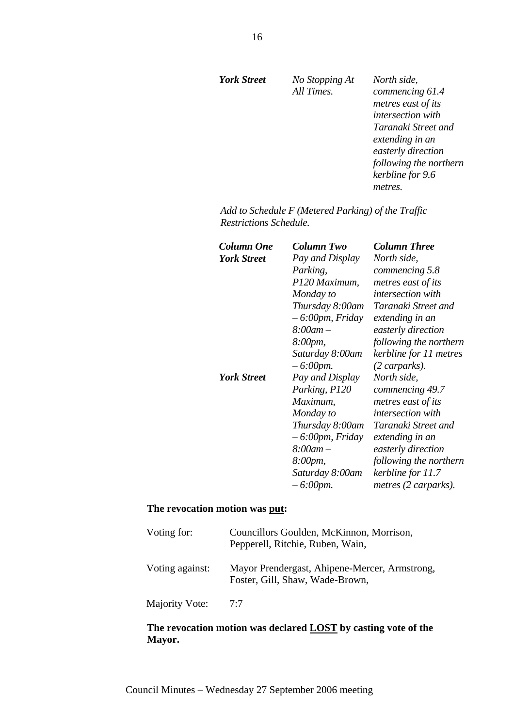*No Stopping At All Times.* 

*North side, commencing 61.4 metres east of its intersection with Taranaki Street and extending in an easterly direction following the northern kerbline for 9.6 metres.* 

*Add to Schedule F (Metered Parking) of the Traffic Restrictions Schedule.* 

| Column One         | Column Two         | <b>Column Three</b>      |
|--------------------|--------------------|--------------------------|
| <b>York Street</b> | Pay and Display    | North side,              |
|                    | Parking,           | commencing 5.8           |
|                    | P120 Maximum,      | metres east of its       |
|                    | Monday to          | <i>intersection with</i> |
|                    | Thursday 8:00am    | Taranaki Street and      |
|                    | $-6.00$ pm, Friday | extending in an          |
|                    | $8:00$ am $-$      | easterly direction       |
|                    | 8:00pm,            | following the northern   |
|                    | Saturday 8:00am    | kerbline for 11 metres   |
|                    | $-6:00$ pm.        | (2 carparks).            |
| <b>York Street</b> | Pay and Display    | North side,              |
|                    | Parking, P120      | commencing 49.7          |
|                    | Maximum,           | metres east of its       |
|                    | Monday to          | <i>intersection with</i> |
|                    | Thursday 8:00am    | Taranaki Street and      |
|                    | $-6.00$ pm, Friday | extending in an          |
|                    | $8:00$ am $-$      | easterly direction       |
|                    | 8:00pm,            | following the northern   |
|                    | Saturday 8:00am    | kerbline for 11.7        |
|                    | $-6:00$ pm.        | metres (2 carparks).     |
|                    |                    |                          |

### **The revocation motion was put:**

| Voting for:     | Councillors Goulden, McKinnon, Morrison,<br>Pepperell, Ritchie, Ruben, Wain,     |
|-----------------|----------------------------------------------------------------------------------|
| Voting against: | Mayor Prendergast, Ahipene-Mercer, Armstrong,<br>Foster, Gill, Shaw, Wade-Brown, |
| Majority Vote:  | 7:7                                                                              |

## **The revocation motion was declared LOST by casting vote of the Mayor.**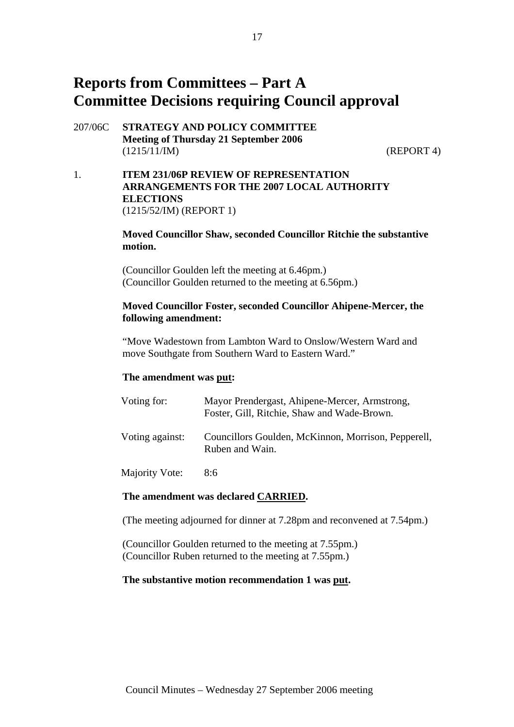# **Reports from Committees – Part A Committee Decisions requiring Council approval**

207/06C **STRATEGY AND POLICY COMMITTEE Meeting of Thursday 21 September 2006**  (1215/11/IM) (REPORT 4)

1. **ITEM 231/06P REVIEW OF REPRESENTATION ARRANGEMENTS FOR THE 2007 LOCAL AUTHORITY ELECTIONS**  (1215/52/IM) (REPORT 1)

## **Moved Councillor Shaw, seconded Councillor Ritchie the substantive motion.**

(Councillor Goulden left the meeting at 6.46pm.) (Councillor Goulden returned to the meeting at 6.56pm.)

## **Moved Councillor Foster, seconded Councillor Ahipene-Mercer, the following amendment:**

"Move Wadestown from Lambton Ward to Onslow/Western Ward and move Southgate from Southern Ward to Eastern Ward."

## **The amendment was put:**

| Voting for:     | Mayor Prendergast, Ahipene-Mercer, Armstrong,<br>Foster, Gill, Ritchie, Shaw and Wade-Brown. |
|-----------------|----------------------------------------------------------------------------------------------|
| Voting against: | Councillors Goulden, McKinnon, Morrison, Pepperell,<br>Ruben and Wain.                       |
|                 |                                                                                              |

## Majority Vote: 8:6

## **The amendment was declared CARRIED.**

(The meeting adjourned for dinner at 7.28pm and reconvened at 7.54pm.)

(Councillor Goulden returned to the meeting at 7.55pm.) (Councillor Ruben returned to the meeting at 7.55pm.)

#### **The substantive motion recommendation 1 was put.**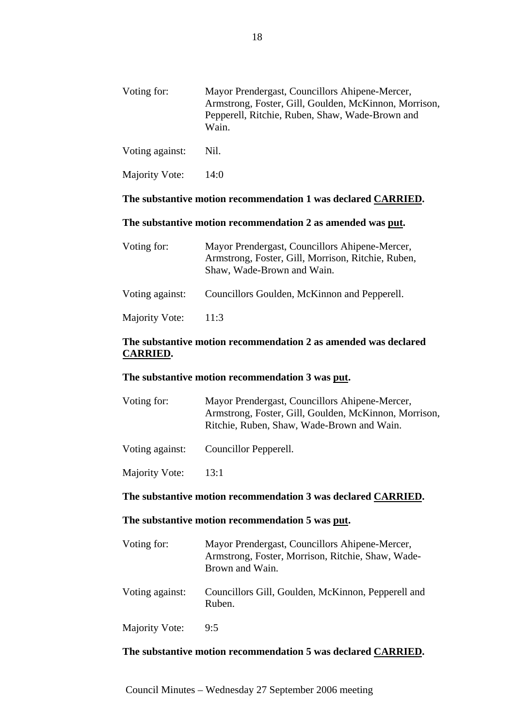| Voting for:     | Mayor Prendergast, Councillors Ahipene-Mercer,<br>Armstrong, Foster, Gill, Goulden, McKinnon, Morrison,<br>Pepperell, Ritchie, Ruben, Shaw, Wade-Brown and<br>Wain. |
|-----------------|---------------------------------------------------------------------------------------------------------------------------------------------------------------------|
| Voting against: | Nil.                                                                                                                                                                |
| Majority Vote:  | 14:0                                                                                                                                                                |

## **The substantive motion recommendation 1 was declared CARRIED.**

## **The substantive motion recommendation 2 as amended was put.**

| Voting for:     | Mayor Prendergast, Councillors Ahipene-Mercer,<br>Armstrong, Foster, Gill, Morrison, Ritchie, Ruben,<br>Shaw, Wade-Brown and Wain. |
|-----------------|------------------------------------------------------------------------------------------------------------------------------------|
| Voting against: | Councillors Goulden, McKinnon and Pepperell.                                                                                       |
| Majority Vote:  | 11:3                                                                                                                               |

## **The substantive motion recommendation 2 as amended was declared CARRIED.**

## **The substantive motion recommendation 3 was put.**

| Voting for:     | Mayor Prendergast, Councillors Ahipene-Mercer,<br>Armstrong, Foster, Gill, Goulden, McKinnon, Morrison,<br>Ritchie, Ruben, Shaw, Wade-Brown and Wain. |
|-----------------|-------------------------------------------------------------------------------------------------------------------------------------------------------|
| Voting against: | Councillor Pepperell.                                                                                                                                 |

Majority Vote: 13:1

# **The substantive motion recommendation 3 was declared CARRIED.**

#### **The substantive motion recommendation 5 was put.**

| Voting for:     | Mayor Prendergast, Councillors Ahipene-Mercer,<br>Armstrong, Foster, Morrison, Ritchie, Shaw, Wade-<br>Brown and Wain. |
|-----------------|------------------------------------------------------------------------------------------------------------------------|
| Voting against: | Councillors Gill, Goulden, McKinnon, Pepperell and<br>Ruben.                                                           |
| Majority Vote:  | 9:5                                                                                                                    |

## **The substantive motion recommendation 5 was declared CARRIED.**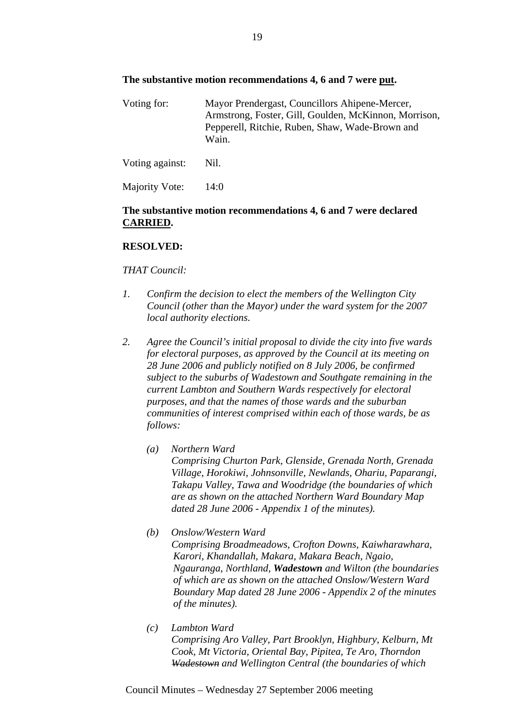## **The substantive motion recommendations 4, 6 and 7 were put.**

Voting for: Mayor Prendergast, Councillors Ahipene-Mercer, Armstrong, Foster, Gill, Goulden, McKinnon, Morrison, Pepperell, Ritchie, Ruben, Shaw, Wade-Brown and Wain.

Voting against: Nil. Majority Vote: 14:0

# **The substantive motion recommendations 4, 6 and 7 were declared**

# **RESOLVED:**

**CARRIED.**

## *THAT Council:*

- *1. Confirm the decision to elect the members of the Wellington City Council (other than the Mayor) under the ward system for the 2007 local authority elections.*
- *2. Agree the Council's initial proposal to divide the city into five wards for electoral purposes, as approved by the Council at its meeting on 28 June 2006 and publicly notified on 8 July 2006, be confirmed subject to the suburbs of Wadestown and Southgate remaining in the current Lambton and Southern Wards respectively for electoral purposes, and that the names of those wards and the suburban communities of interest comprised within each of those wards, be as follows:* 
	- *(a) Northern Ward Comprising Churton Park, Glenside, Grenada North, Grenada Village, Horokiwi, Johnsonville, Newlands, Ohariu, Paparangi, Takapu Valley, Tawa and Woodridge (the boundaries of which are as shown on the attached Northern Ward Boundary Map dated 28 June 2006 - Appendix 1 of the minutes).*
	- *(b) Onslow/Western Ward Comprising Broadmeadows, Crofton Downs, Kaiwharawhara, Karori, Khandallah, Makara, Makara Beach, Ngaio, Ngauranga, Northland, Wadestown and Wilton (the boundaries of which are as shown on the attached Onslow/Western Ward Boundary Map dated 28 June 2006 - Appendix 2 of the minutes of the minutes).*
	- *(c) Lambton Ward Comprising Aro Valley, Part Brooklyn, Highbury, Kelburn, Mt Cook, Mt Victoria, Oriental Bay, Pipitea, Te Aro, Thorndon Wadestown and Wellington Central (the boundaries of which*

Council Minutes – Wednesday 27 September 2006 meeting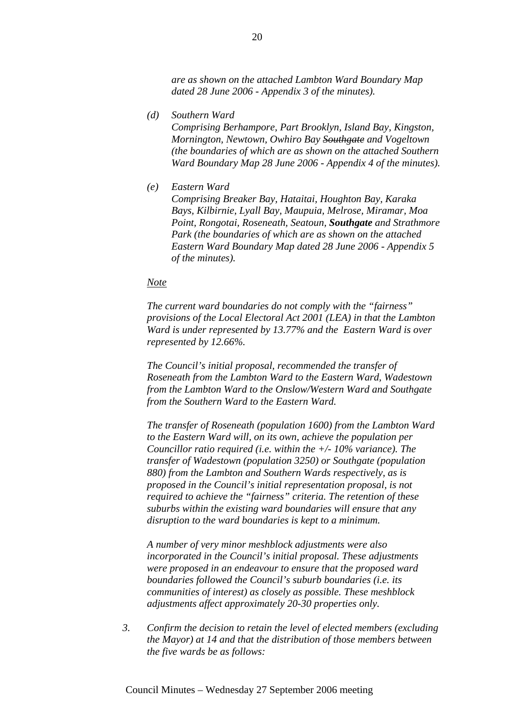*are as shown on the attached Lambton Ward Boundary Map dated 28 June 2006 - Appendix 3 of the minutes).* 

*(d) Southern Ward* 

*Comprising Berhampore, Part Brooklyn, Island Bay, Kingston, Mornington, Newtown, Owhiro Bay Southgate and Vogeltown (the boundaries of which are as shown on the attached Southern Ward Boundary Map 28 June 2006 - Appendix 4 of the minutes).* 

*(e) Eastern Ward* 

*Comprising Breaker Bay, Hataitai, Houghton Bay, Karaka Bays, Kilbirnie, Lyall Bay, Maupuia, Melrose, Miramar, Moa Point, Rongotai, Roseneath, Seatoun, Southgate and Strathmore Park (the boundaries of which are as shown on the attached Eastern Ward Boundary Map dated 28 June 2006 - Appendix 5 of the minutes).* 

#### *Note*

*The current ward boundaries do not comply with the "fairness" provisions of the Local Electoral Act 2001 (LEA) in that the Lambton Ward is under represented by 13.77% and the Eastern Ward is over represented by 12.66%.* 

*The Council's initial proposal, recommended the transfer of Roseneath from the Lambton Ward to the Eastern Ward, Wadestown from the Lambton Ward to the Onslow/Western Ward and Southgate from the Southern Ward to the Eastern Ward.* 

*The transfer of Roseneath (population 1600) from the Lambton Ward to the Eastern Ward will, on its own, achieve the population per Councillor ratio required (i.e. within the +/- 10% variance). The transfer of Wadestown (population 3250) or Southgate (population 880) from the Lambton and Southern Wards respectively, as is proposed in the Council's initial representation proposal, is not required to achieve the "fairness" criteria. The retention of these suburbs within the existing ward boundaries will ensure that any disruption to the ward boundaries is kept to a minimum.* 

*A number of very minor meshblock adjustments were also incorporated in the Council's initial proposal. These adjustments were proposed in an endeavour to ensure that the proposed ward boundaries followed the Council's suburb boundaries (i.e. its communities of interest) as closely as possible. These meshblock adjustments affect approximately 20-30 properties only.* 

*3. Confirm the decision to retain the level of elected members (excluding the Mayor) at 14 and that the distribution of those members between the five wards be as follows:*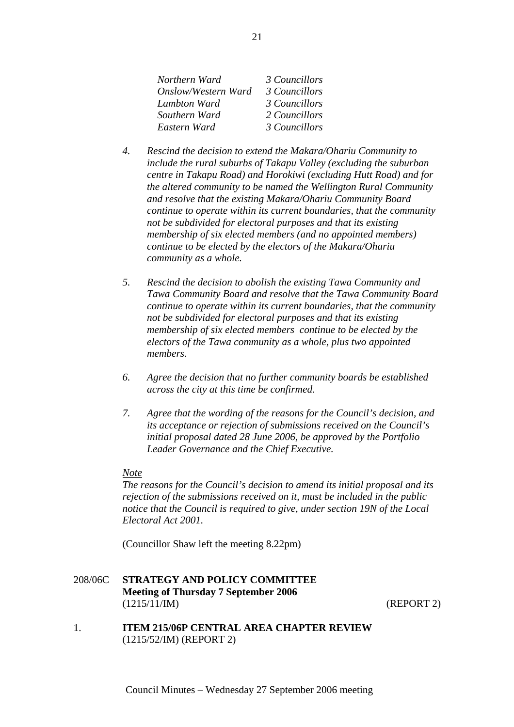| Northern Ward       | 3 Councillors |
|---------------------|---------------|
| Onslow/Western Ward | 3 Councillors |
| Lambton Ward        | 3 Councillors |
| Southern Ward       | 2 Councillors |
| Eastern Ward        | 3 Councillors |

- *4. Rescind the decision to extend the Makara/Ohariu Community to include the rural suburbs of Takapu Valley (excluding the suburban centre in Takapu Road) and Horokiwi (excluding Hutt Road) and for the altered community to be named the Wellington Rural Community and resolve that the existing Makara/Ohariu Community Board continue to operate within its current boundaries, that the community not be subdivided for electoral purposes and that its existing membership of six elected members (and no appointed members) continue to be elected by the electors of the Makara/Ohariu community as a whole.*
- *5. Rescind the decision to abolish the existing Tawa Community and Tawa Community Board and resolve that the Tawa Community Board continue to operate within its current boundaries, that the community not be subdivided for electoral purposes and that its existing membership of six elected members continue to be elected by the electors of the Tawa community as a whole, plus two appointed members.*
- *6. Agree the decision that no further community boards be established across the city at this time be confirmed.*
- *7. Agree that the wording of the reasons for the Council's decision, and its acceptance or rejection of submissions received on the Council's initial proposal dated 28 June 2006, be approved by the Portfolio Leader Governance and the Chief Executive.*

#### *Note*

*The reasons for the Council's decision to amend its initial proposal and its rejection of the submissions received on it, must be included in the public notice that the Council is required to give, under section 19N of the Local Electoral Act 2001.* 

(Councillor Shaw left the meeting 8.22pm)

## 208/06C **STRATEGY AND POLICY COMMITTEE Meeting of Thursday 7 September 2006**  (1215/11/IM) (REPORT 2)

1. **ITEM 215/06P CENTRAL AREA CHAPTER REVIEW** (1215/52/IM) (REPORT 2)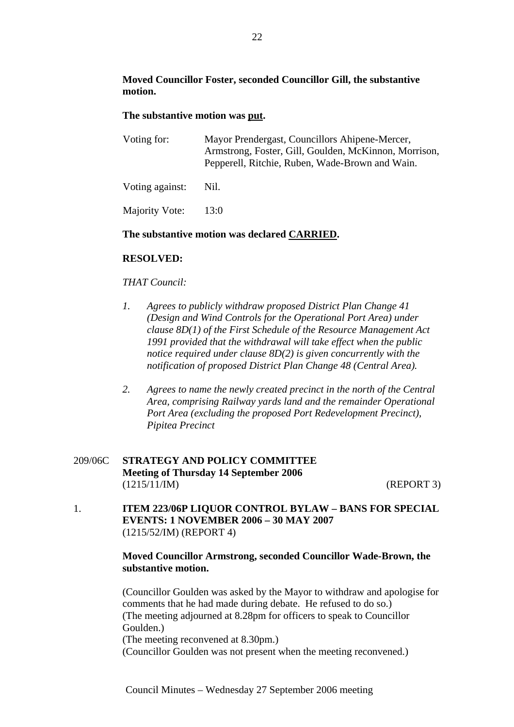## **Moved Councillor Foster, seconded Councillor Gill, the substantive motion.**

## **The substantive motion was put.**

| Voting for:     | Mayor Prendergast, Councillors Ahipene-Mercer,<br>Armstrong, Foster, Gill, Goulden, McKinnon, Morrison,<br>Pepperell, Ritchie, Ruben, Wade-Brown and Wain. |
|-----------------|------------------------------------------------------------------------------------------------------------------------------------------------------------|
| Voting against: | Nil.                                                                                                                                                       |
| Majority Vote:  | 13:0                                                                                                                                                       |

## **The substantive motion was declared CARRIED.**

## **RESOLVED:**

## *THAT Council:*

- *1. Agrees to publicly withdraw proposed District Plan Change 41 (Design and Wind Controls for the Operational Port Area) under clause 8D(1) of the First Schedule of the Resource Management Act 1991 provided that the withdrawal will take effect when the public notice required under clause 8D(2) is given concurrently with the notification of proposed District Plan Change 48 (Central Area).*
- *2. Agrees to name the newly created precinct in the north of the Central Area, comprising Railway yards land and the remainder Operational Port Area (excluding the proposed Port Redevelopment Precinct), Pipitea Precinct*

## 209/06C **STRATEGY AND POLICY COMMITTEE Meeting of Thursday 14 September 2006**  (1215/11/IM) (REPORT 3)

1. **ITEM 223/06P LIQUOR CONTROL BYLAW – BANS FOR SPECIAL EVENTS: 1 NOVEMBER 2006 – 30 MAY 2007**  (1215/52/IM) (REPORT 4)

## **Moved Councillor Armstrong, seconded Councillor Wade-Brown, the substantive motion.**

(Councillor Goulden was asked by the Mayor to withdraw and apologise for comments that he had made during debate. He refused to do so.) (The meeting adjourned at 8.28pm for officers to speak to Councillor Goulden.)

(The meeting reconvened at 8.30pm.)

(Councillor Goulden was not present when the meeting reconvened.)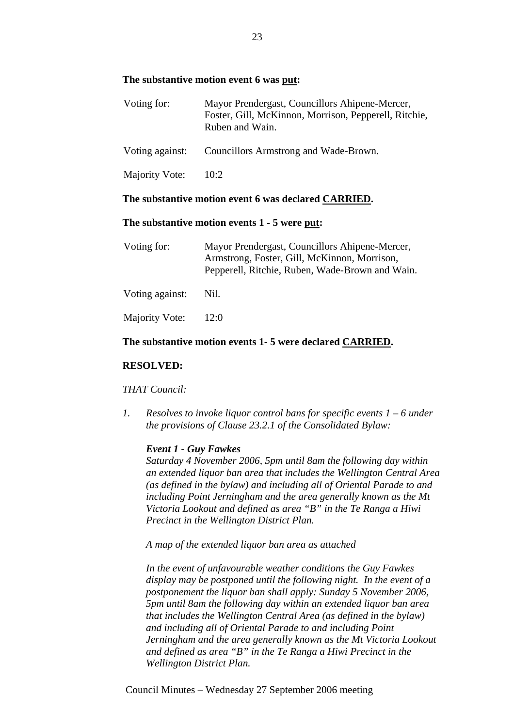### **The substantive motion event 6 was put:**

| Voting for:     | Mayor Prendergast, Councillors Ahipene-Mercer,<br>Foster, Gill, McKinnon, Morrison, Pepperell, Ritchie,<br>Ruben and Wain. |
|-----------------|----------------------------------------------------------------------------------------------------------------------------|
| Voting against: | Councillors Armstrong and Wade-Brown.                                                                                      |
| Majority Vote:  | 10:2                                                                                                                       |

#### **The substantive motion event 6 was declared CARRIED.**

#### **The substantive motion events 1 - 5 were put:**

| Voting for:     | Mayor Prendergast, Councillors Ahipene-Mercer,<br>Armstrong, Foster, Gill, McKinnon, Morrison,<br>Pepperell, Ritchie, Ruben, Wade-Brown and Wain. |  |
|-----------------|---------------------------------------------------------------------------------------------------------------------------------------------------|--|
| Voting against: | Nil.                                                                                                                                              |  |
| Majority Vote:  | 12:0                                                                                                                                              |  |

#### **The substantive motion events 1- 5 were declared CARRIED.**

#### **RESOLVED:**

#### *THAT Council:*

*1. Resolves to invoke liquor control bans for specific events 1 – 6 under the provisions of Clause 23.2.1 of the Consolidated Bylaw:* 

#### *Event 1 - Guy Fawkes*

*Saturday 4 November 2006, 5pm until 8am the following day within an extended liquor ban area that includes the Wellington Central Area (as defined in the bylaw) and including all of Oriental Parade to and including Point Jerningham and the area generally known as the Mt Victoria Lookout and defined as area "B" in the Te Ranga a Hiwi Precinct in the Wellington District Plan.* 

*A map of the extended liquor ban area as attached* 

*In the event of unfavourable weather conditions the Guy Fawkes display may be postponed until the following night. In the event of a postponement the liquor ban shall apply: Sunday 5 November 2006, 5pm until 8am the following day within an extended liquor ban area that includes the Wellington Central Area (as defined in the bylaw) and including all of Oriental Parade to and including Point Jerningham and the area generally known as the Mt Victoria Lookout and defined as area "B" in the Te Ranga a Hiwi Precinct in the Wellington District Plan.* 

Council Minutes – Wednesday 27 September 2006 meeting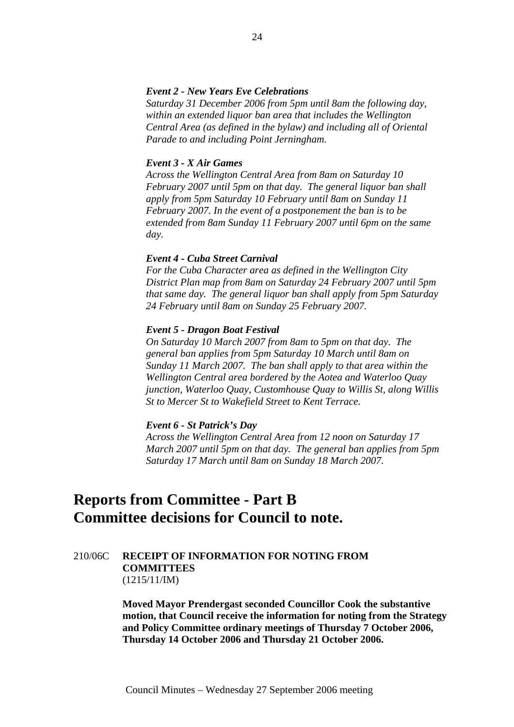#### *Event 2 - New Years Eve Celebrations*

*Saturday 31 December 2006 from 5pm until 8am the following day, within an extended liquor ban area that includes the Wellington Central Area (as defined in the bylaw) and including all of Oriental Parade to and including Point Jerningham.* 

#### *Event 3 - X Air Games*

*Across the Wellington Central Area from 8am on Saturday 10 February 2007 until 5pm on that day. The general liquor ban shall apply from 5pm Saturday 10 February until 8am on Sunday 11 February 2007. In the event of a postponement the ban is to be extended from 8am Sunday 11 February 2007 until 6pm on the same day.* 

#### *Event 4 - Cuba Street Carnival*

*For the Cuba Character area as defined in the Wellington City District Plan map from 8am on Saturday 24 February 2007 until 5pm that same day. The general liquor ban shall apply from 5pm Saturday 24 February until 8am on Sunday 25 February 2007.* 

#### *Event 5 - Dragon Boat Festival*

*On Saturday 10 March 2007 from 8am to 5pm on that day. The general ban applies from 5pm Saturday 10 March until 8am on Sunday 11 March 2007. The ban shall apply to that area within the Wellington Central area bordered by the Aotea and Waterloo Quay junction, Waterloo Quay, Customhouse Quay to Willis St, along Willis St to Mercer St to Wakefield Street to Kent Terrace.* 

#### *Event 6 - St Patrick's Day*

*Across the Wellington Central Area from 12 noon on Saturday 17 March 2007 until 5pm on that day. The general ban applies from 5pm Saturday 17 March until 8am on Sunday 18 March 2007.* 

# **Reports from Committee - Part B Committee decisions for Council to note.**

## 210/06C **RECEIPT OF INFORMATION FOR NOTING FROM COMMITTEES** (1215/11/IM)

**Moved Mayor Prendergast seconded Councillor Cook the substantive motion, that Council receive the information for noting from the Strategy and Policy Committee ordinary meetings of Thursday 7 October 2006, Thursday 14 October 2006 and Thursday 21 October 2006.**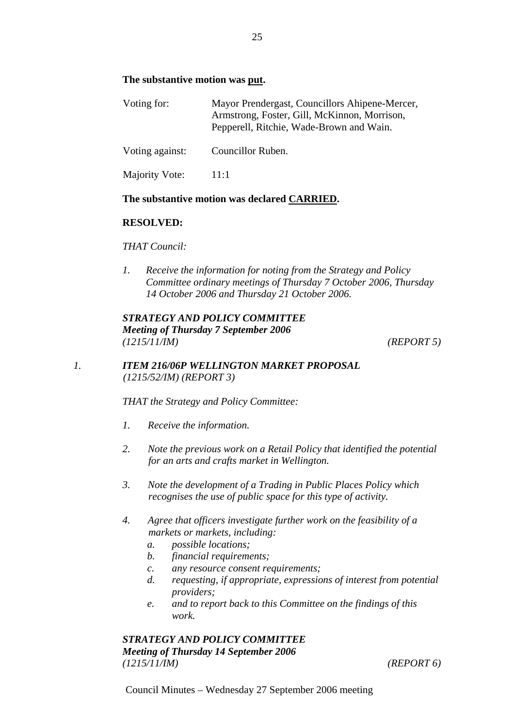## **The substantive motion was put.**

| Voting for:     | Mayor Prendergast, Councillors Ahipene-Mercer,<br>Armstrong, Foster, Gill, McKinnon, Morrison,<br>Pepperell, Ritchie, Wade-Brown and Wain. |  |
|-----------------|--------------------------------------------------------------------------------------------------------------------------------------------|--|
| Voting against: | Councillor Ruben.                                                                                                                          |  |
| Majority Vote:  | 11:1                                                                                                                                       |  |

## **The substantive motion was declared CARRIED.**

## **RESOLVED:**

## *THAT Council:*

*1. Receive the information for noting from the Strategy and Policy Committee ordinary meetings of Thursday 7 October 2006, Thursday 14 October 2006 and Thursday 21 October 2006.* 

*STRATEGY AND POLICY COMMITTEE Meeting of Thursday 7 September 2006 (1215/11/IM) (REPORT 5)*

## *1. ITEM 216/06P WELLINGTON MARKET PROPOSAL (1215/52/IM) (REPORT 3)*

*THAT the Strategy and Policy Committee:* 

- *1. Receive the information.*
- *2. Note the previous work on a Retail Policy that identified the potential for an arts and crafts market in Wellington.*
- *3. Note the development of a Trading in Public Places Policy which recognises the use of public space for this type of activity.*
- *4. Agree that officers investigate further work on the feasibility of a markets or markets, including:* 
	- *a. possible locations;*
	- *b. financial requirements;*
	- *c. any resource consent requirements;*
	- *d. requesting, if appropriate, expressions of interest from potential providers;*
	- *e. and to report back to this Committee on the findings of this work.*

## *STRATEGY AND POLICY COMMITTEE Meeting of Thursday 14 September 2006 (1215/11/IM) (REPORT 6)*

Council Minutes – Wednesday 27 September 2006 meeting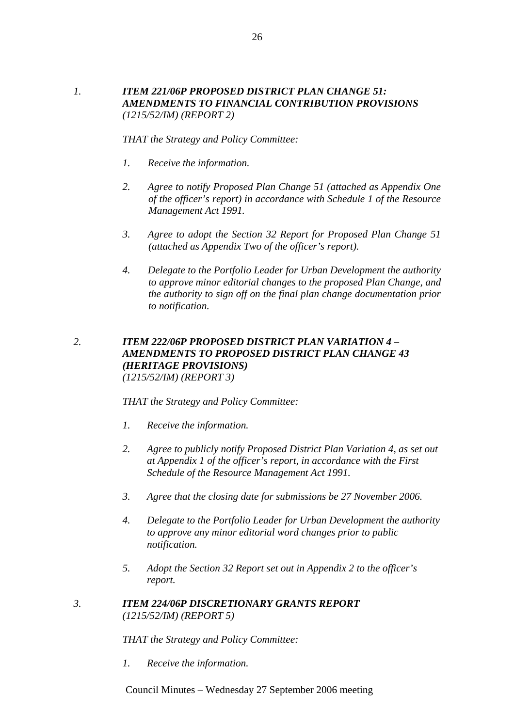## *1. ITEM 221/06P PROPOSED DISTRICT PLAN CHANGE 51: AMENDMENTS TO FINANCIAL CONTRIBUTION PROVISIONS (1215/52/IM) (REPORT 2)*

*THAT the Strategy and Policy Committee:* 

- *1. Receive the information.*
- *2. Agree to notify Proposed Plan Change 51 (attached as Appendix One of the officer's report) in accordance with Schedule 1 of the Resource Management Act 1991.*
- *3. Agree to adopt the Section 32 Report for Proposed Plan Change 51 (attached as Appendix Two of the officer's report).*
- *4. Delegate to the Portfolio Leader for Urban Development the authority to approve minor editorial changes to the proposed Plan Change, and the authority to sign off on the final plan change documentation prior to notification.*

## *2. ITEM 222/06P PROPOSED DISTRICT PLAN VARIATION 4 – AMENDMENTS TO PROPOSED DISTRICT PLAN CHANGE 43 (HERITAGE PROVISIONS) (1215/52/IM) (REPORT 3)*

*THAT the Strategy and Policy Committee:* 

- *1. Receive the information.*
- *2. Agree to publicly notify Proposed District Plan Variation 4, as set out at Appendix 1 of the officer's report, in accordance with the First Schedule of the Resource Management Act 1991.*
- *3. Agree that the closing date for submissions be 27 November 2006.*
- *4. Delegate to the Portfolio Leader for Urban Development the authority to approve any minor editorial word changes prior to public notification.*
- *5. Adopt the Section 32 Report set out in Appendix 2 to the officer's report.*

## *3. ITEM 224/06P DISCRETIONARY GRANTS REPORT (1215/52/IM) (REPORT 5)*

*THAT the Strategy and Policy Committee:* 

*1. Receive the information.* 

Council Minutes – Wednesday 27 September 2006 meeting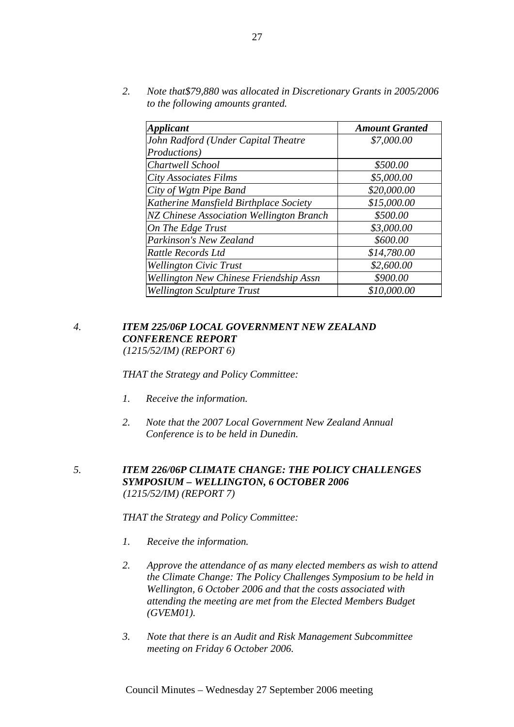*2. Note that\$79,880 was allocated in Discretionary Grants in 2005/2006 to the following amounts granted.* 

| <b>Applicant</b>                                | <b>Amount Granted</b> |
|-------------------------------------------------|-----------------------|
| John Radford (Under Capital Theatre             | \$7,000.00            |
| Productions)                                    |                       |
| Chartwell School                                | \$500.00              |
| City Associates Films                           | \$5,000.00            |
| City of Wgtn Pipe Band                          | \$20,000.00           |
| Katherine Mansfield Birthplace Society          | \$15,000.00           |
| <b>NZ Chinese Association Wellington Branch</b> | \$500.00              |
| On The Edge Trust                               | \$3,000.00            |
| Parkinson's New Zealand                         | \$600.00              |
| Rattle Records Ltd                              | \$14,780.00           |
| <b>Wellington Civic Trust</b>                   | \$2,600.00            |
| Wellington New Chinese Friendship Assn          | \$900.00              |
| <b>Wellington Sculpture Trust</b>               | \$10,000.00           |

## *4. ITEM 225/06P LOCAL GOVERNMENT NEW ZEALAND CONFERENCE REPORT (1215/52/IM) (REPORT 6)*

*THAT the Strategy and Policy Committee:* 

- *1. Receive the information.*
- *2. Note that the 2007 Local Government New Zealand Annual Conference is to be held in Dunedin.*
- *5. ITEM 226/06P CLIMATE CHANGE: THE POLICY CHALLENGES SYMPOSIUM – WELLINGTON, 6 OCTOBER 2006 (1215/52/IM) (REPORT 7)*

*THAT the Strategy and Policy Committee:* 

- *1. Receive the information.*
- *2. Approve the attendance of as many elected members as wish to attend the Climate Change: The Policy Challenges Symposium to be held in Wellington, 6 October 2006 and that the costs associated with attending the meeting are met from the Elected Members Budget (GVEM01).*
- *3. Note that there is an Audit and Risk Management Subcommittee meeting on Friday 6 October 2006.*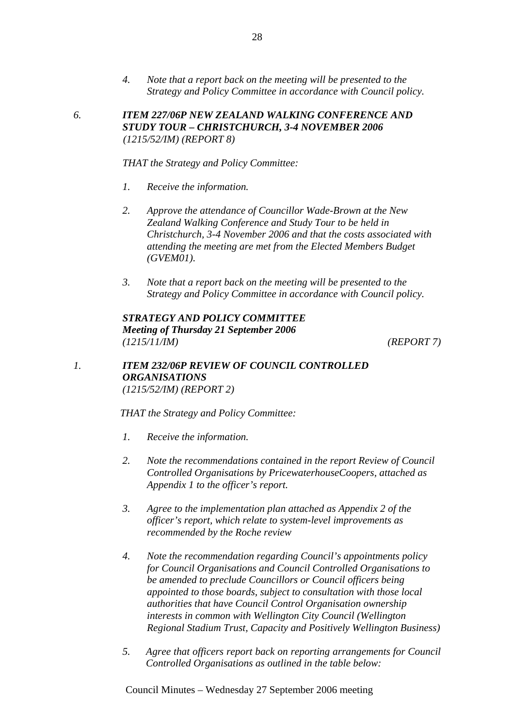*4. Note that a report back on the meeting will be presented to the Strategy and Policy Committee in accordance with Council policy.* 

*6. ITEM 227/06P NEW ZEALAND WALKING CONFERENCE AND STUDY TOUR – CHRISTCHURCH, 3-4 NOVEMBER 2006 (1215/52/IM) (REPORT 8)*

*THAT the Strategy and Policy Committee:* 

- *1. Receive the information.*
- *2. Approve the attendance of Councillor Wade-Brown at the New Zealand Walking Conference and Study Tour to be held in Christchurch, 3-4 November 2006 and that the costs associated with attending the meeting are met from the Elected Members Budget (GVEM01).*
- *3. Note that a report back on the meeting will be presented to the Strategy and Policy Committee in accordance with Council policy.*

*STRATEGY AND POLICY COMMITTEE Meeting of Thursday 21 September 2006 (1215/11/IM) (REPORT 7)*

## *1. ITEM 232/06P REVIEW OF COUNCIL CONTROLLED ORGANISATIONS (1215/52/IM) (REPORT 2)*

*THAT the Strategy and Policy Committee:* 

- *1. Receive the information.*
- *2. Note the recommendations contained in the report Review of Council Controlled Organisations by PricewaterhouseCoopers, attached as Appendix 1 to the officer's report.*
- *3. Agree to the implementation plan attached as Appendix 2 of the officer's report, which relate to system-level improvements as recommended by the Roche review*
- *4. Note the recommendation regarding Council's appointments policy for Council Organisations and Council Controlled Organisations to be amended to preclude Councillors or Council officers being appointed to those boards, subject to consultation with those local authorities that have Council Control Organisation ownership interests in common with Wellington City Council (Wellington Regional Stadium Trust, Capacity and Positively Wellington Business)*
- *5. Agree that officers report back on reporting arrangements for Council Controlled Organisations as outlined in the table below:*

Council Minutes – Wednesday 27 September 2006 meeting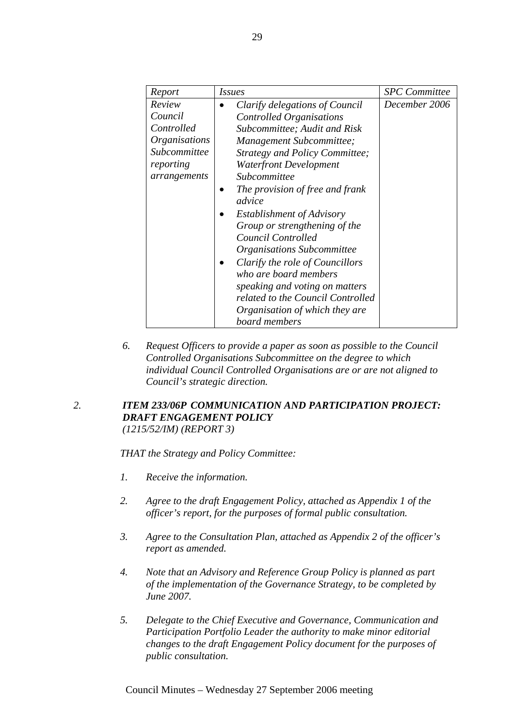| Report                                                                                               | <i>Issues</i>                                                                                                                                                                                                                                                                                                                                                                                                                                                                                                                                                         | <b>SPC</b> Committee |
|------------------------------------------------------------------------------------------------------|-----------------------------------------------------------------------------------------------------------------------------------------------------------------------------------------------------------------------------------------------------------------------------------------------------------------------------------------------------------------------------------------------------------------------------------------------------------------------------------------------------------------------------------------------------------------------|----------------------|
| Review<br>Council<br>Controlled<br><i>Organisations</i><br>Subcommittee<br>reporting<br>arrangements | Clarify delegations of Council<br><b>Controlled Organisations</b><br>Subcommittee; Audit and Risk<br>Management Subcommittee;<br>Strategy and Policy Committee;<br><b>Waterfront Development</b><br>Subcommittee<br>The provision of free and frank<br>advice<br>Establishment of Advisory<br>Group or strengthening of the<br>Council Controlled<br>Organisations Subcommittee<br>Clarify the role of Councillors<br>who are board members<br>speaking and voting on matters<br>related to the Council Controlled<br>Organisation of which they are<br>board members | December 2006        |

*6. Request Officers to provide a paper as soon as possible to the Council Controlled Organisations Subcommittee on the degree to which individual Council Controlled Organisations are or are not aligned to Council's strategic direction.* 

## *2. ITEM 233/06P COMMUNICATION AND PARTICIPATION PROJECT: DRAFT ENGAGEMENT POLICY (1215/52/IM) (REPORT 3)*

*THAT the Strategy and Policy Committee:* 

- *1. Receive the information.*
- *2. Agree to the draft Engagement Policy, attached as Appendix 1 of the officer's report, for the purposes of formal public consultation.*
- *3. Agree to the Consultation Plan, attached as Appendix 2 of the officer's report as amended.*
- *4. Note that an Advisory and Reference Group Policy is planned as part of the implementation of the Governance Strategy, to be completed by June 2007.*
- *5. Delegate to the Chief Executive and Governance, Communication and Participation Portfolio Leader the authority to make minor editorial changes to the draft Engagement Policy document for the purposes of public consultation.*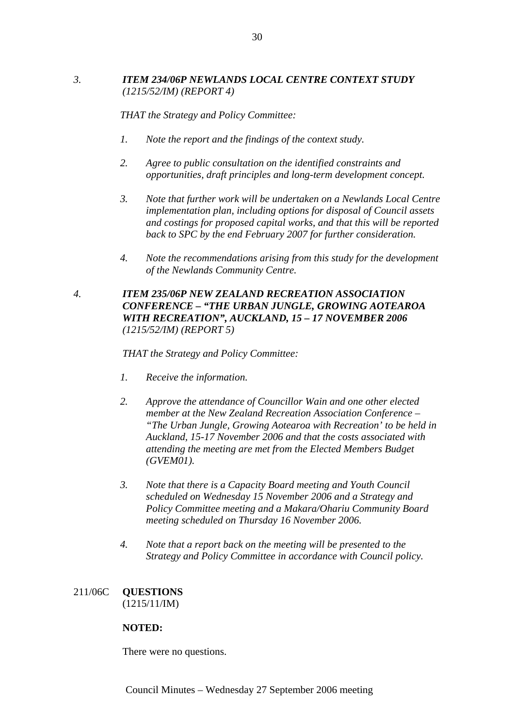## *3. ITEM 234/06P NEWLANDS LOCAL CENTRE CONTEXT STUDY (1215/52/IM) (REPORT 4)*

*THAT the Strategy and Policy Committee:* 

- *1. Note the report and the findings of the context study.*
- *2. Agree to public consultation on the identified constraints and opportunities, draft principles and long-term development concept.*
- *3. Note that further work will be undertaken on a Newlands Local Centre implementation plan, including options for disposal of Council assets and costings for proposed capital works, and that this will be reported back to SPC by the end February 2007 for further consideration.*
- *4. Note the recommendations arising from this study for the development of the Newlands Community Centre.*

## *4. ITEM 235/06P NEW ZEALAND RECREATION ASSOCIATION CONFERENCE – "THE URBAN JUNGLE, GROWING AOTEAROA WITH RECREATION", AUCKLAND, 15 – 17 NOVEMBER 2006 (1215/52/IM) (REPORT 5)*

*THAT the Strategy and Policy Committee:* 

- *1. Receive the information.*
- *2. Approve the attendance of Councillor Wain and one other elected member at the New Zealand Recreation Association Conference – "The Urban Jungle, Growing Aotearoa with Recreation' to be held in Auckland, 15-17 November 2006 and that the costs associated with attending the meeting are met from the Elected Members Budget (GVEM01).*
- *3. Note that there is a Capacity Board meeting and Youth Council scheduled on Wednesday 15 November 2006 and a Strategy and Policy Committee meeting and a Makara/Ohariu Community Board meeting scheduled on Thursday 16 November 2006.*
- *4. Note that a report back on the meeting will be presented to the Strategy and Policy Committee in accordance with Council policy.*

### 211/06C **QUESTIONS**  (1215/11/IM)

## **NOTED:**

There were no questions.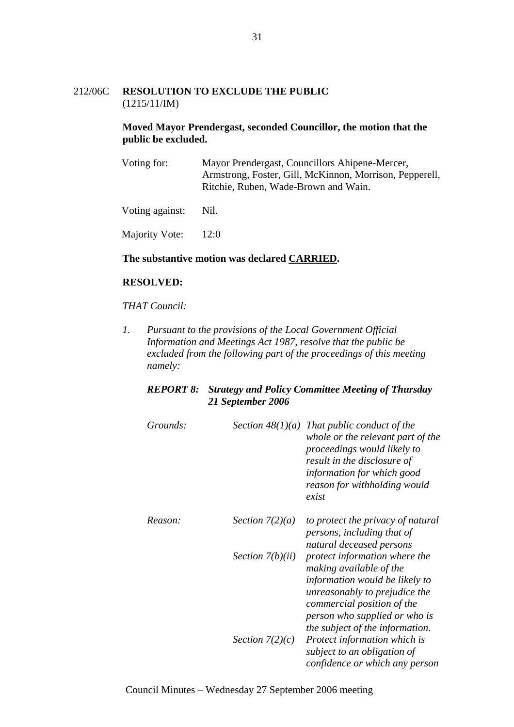## 212/06C **RESOLUTION TO EXCLUDE THE PUBLIC**  (1215/11/IM)

## **Moved Mayor Prendergast, seconded Councillor, the motion that the public be excluded.**

Voting for: Mayor Prendergast, Councillors Ahipene-Mercer, Armstrong, Foster, Gill, McKinnon, Morrison, Pepperell, Ritchie, Ruben, Wade-Brown and Wain.

Voting against: Nil.

Majority Vote: 12:0

#### **The substantive motion was declared CARRIED.**

## **RESOLVED:**

#### *THAT Council:*

*1. Pursuant to the provisions of the Local Government Official Information and Meetings Act 1987, resolve that the public be excluded from the following part of the proceedings of this meeting namely:* 

## *REPORT 8: Strategy and Policy Committee Meeting of Thursday 21 September 2006*

| Grounds: |                    | Section $48(1)(a)$ That public conduct of the<br>whole or the relevant part of the<br>proceedings would likely to<br>result in the disclosure of<br>information for which good<br>reason for withholding would<br>exist       |
|----------|--------------------|-------------------------------------------------------------------------------------------------------------------------------------------------------------------------------------------------------------------------------|
| Reason:  | Section $7(2)(a)$  | to protect the privacy of natural<br>persons, including that of<br>natural deceased persons                                                                                                                                   |
|          | Section $7(b)(ii)$ | protect information where the<br>making available of the<br>information would be likely to<br>unreasonably to prejudice the<br>commercial position of the<br>person who supplied or who is<br>the subject of the information. |
|          | Section $7(2)(c)$  | Protect information which is<br>subject to an obligation of<br>confidence or which any person                                                                                                                                 |